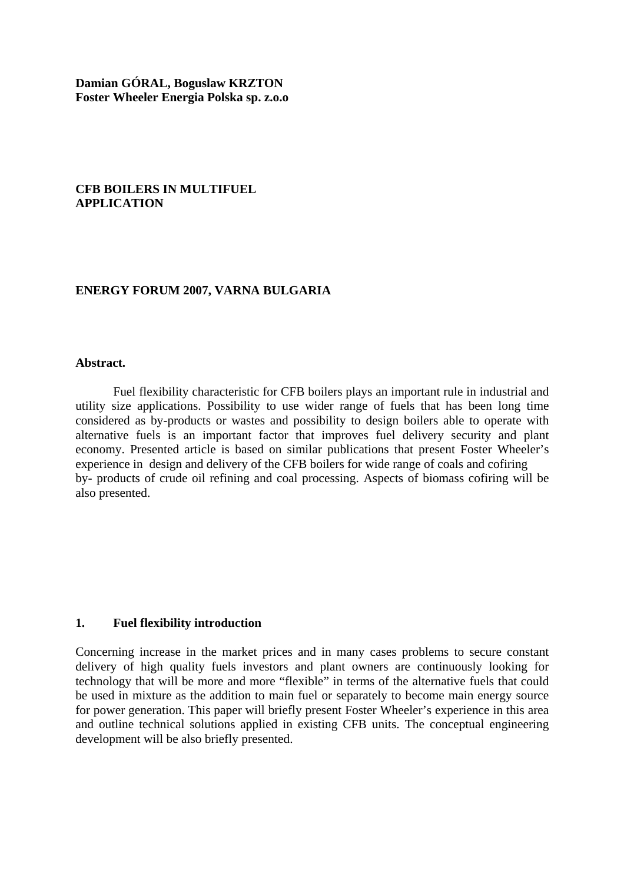**Damian GÓRAL, Boguslaw KRZTON Foster Wheeler Energia Polska sp. z.o.o**

**CFB BOILERS IN MULTIFUEL APPLICATION**

### **ENERGY FORUM 2007, VARNA BULGARIA**

### **Abstract.**

Fuel flexibility characteristic for CFB boilers plays an important rule in industrial and utility size applications. Possibility to use wider range of fuels that has been long time considered as by-products or wastes and possibility to design boilers able to operate with alternative fuels is an important factor that improves fuel delivery security and plant economy. Presented article is based on similar publications that present Foster Wheeler's experience in design and delivery of the CFB boilers for wide range of coals and cofiring by- products of crude oil refining and coal processing. Aspects of biomass cofiring will be also presented.

### **1. Fuel flexibility introduction**

Concerning increase in the market prices and in many cases problems to secure constant delivery of high quality fuels investors and plant owners are continuously looking for technology that will be more and more "flexible" in terms of the alternative fuels that could be used in mixture as the addition to main fuel or separately to become main energy source for power generation. This paper will briefly present Foster Wheeler's experience in this area and outline technical solutions applied in existing CFB units. The conceptual engineering development will be also briefly presented.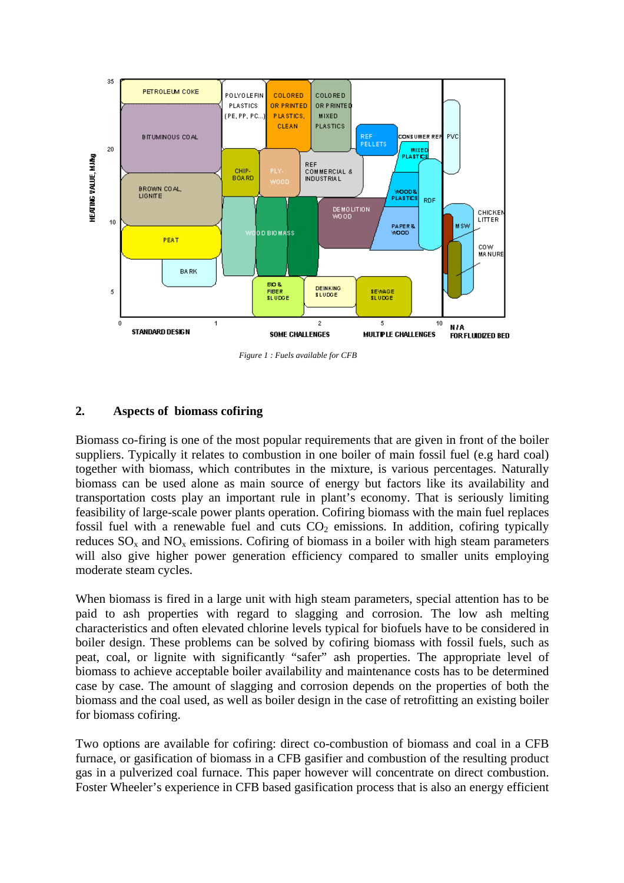

*Figure 1 : Fuels available for CFB*

## **2. Aspects of biomass cofiring**

Biomass co-firing is one of the most popular requirements that are given in front of the boiler suppliers. Typically it relates to combustion in one boiler of main fossil fuel (e.g hard coal) together with biomass, which contributes in the mixture, is various percentages. Naturally biomass can be used alone as main source of energy but factors like its availability and transportation costs play an important rule in plant's economy. That is seriously limiting feasibility of large-scale power plants operation. Cofiring biomass with the main fuel replaces fossil fuel with a renewable fuel and cuts  $CO<sub>2</sub>$  emissions. In addition, cofiring typically reduces  $SO_x$  and  $NO_x$  emissions. Cofiring of biomass in a boiler with high steam parameters will also give higher power generation efficiency compared to smaller units employing moderate steam cycles.

When biomass is fired in a large unit with high steam parameters, special attention has to be paid to ash properties with regard to slagging and corrosion. The low ash melting characteristics and often elevated chlorine levels typical for biofuels have to be considered in boiler design. These problems can be solved by cofiring biomass with fossil fuels, such as peat, coal, or lignite with significantly "safer" ash properties. The appropriate level of biomass to achieve acceptable boiler availability and maintenance costs has to be determined case by case. The amount of slagging and corrosion depends on the properties of both the biomass and the coal used, as well as boiler design in the case of retrofitting an existing boiler for biomass cofiring.

Two options are available for cofiring: direct co-combustion of biomass and coal in a CFB furnace, or gasification of biomass in a CFB gasifier and combustion of the resulting product gas in a pulverized coal furnace. This paper however will concentrate on direct combustion. Foster Wheeler's experience in CFB based gasification process that is also an energy efficient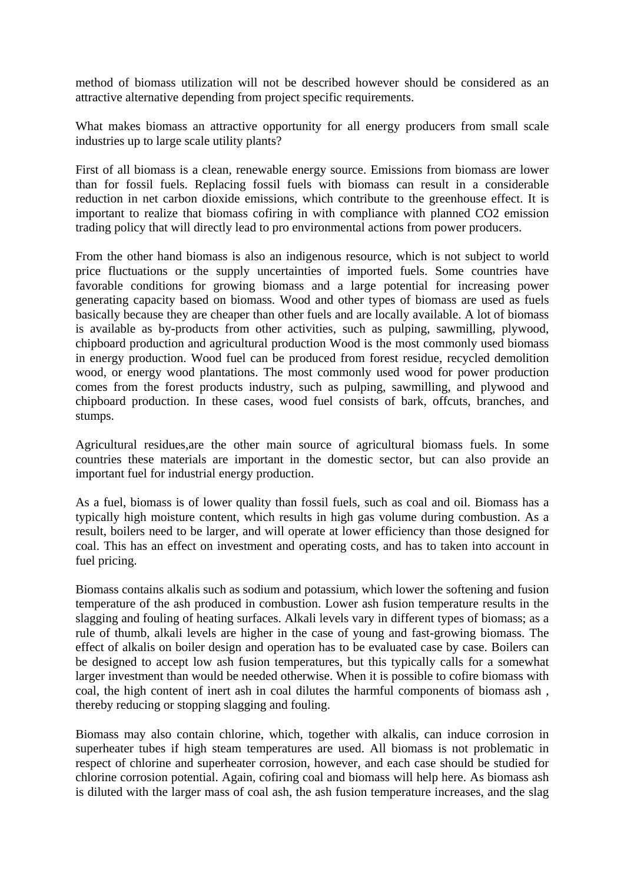method of biomass utilization will not be described however should be considered as an attractive alternative depending from project specific requirements.

What makes biomass an attractive opportunity for all energy producers from small scale industries up to large scale utility plants?

First of all biomass is a clean, renewable energy source. Emissions from biomass are lower than for fossil fuels. Replacing fossil fuels with biomass can result in a considerable reduction in net carbon dioxide emissions, which contribute to the greenhouse effect. It is important to realize that biomass cofiring in with compliance with planned CO2 emission trading policy that will directly lead to pro environmental actions from power producers.

From the other hand biomass is also an indigenous resource, which is not subject to world price fluctuations or the supply uncertainties of imported fuels. Some countries have favorable conditions for growing biomass and a large potential for increasing power generating capacity based on biomass. Wood and other types of biomass are used as fuels basically because they are cheaper than other fuels and are locally available. A lot of biomass is available as by-products from other activities, such as pulping, sawmilling, plywood, chipboard production and agricultural production Wood is the most commonly used biomass in energy production. Wood fuel can be produced from forest residue, recycled demolition wood, or energy wood plantations. The most commonly used wood for power production comes from the forest products industry, such as pulping, sawmilling, and plywood and chipboard production. In these cases, wood fuel consists of bark, offcuts, branches, and stumps.

Agricultural residues,are the other main source of agricultural biomass fuels. In some countries these materials are important in the domestic sector, but can also provide an important fuel for industrial energy production.

As a fuel, biomass is of lower quality than fossil fuels, such as coal and oil. Biomass has a typically high moisture content, which results in high gas volume during combustion. As a result, boilers need to be larger, and will operate at lower efficiency than those designed for coal. This has an effect on investment and operating costs, and has to taken into account in fuel pricing.

Biomass contains alkalis such as sodium and potassium, which lower the softening and fusion temperature of the ash produced in combustion. Lower ash fusion temperature results in the slagging and fouling of heating surfaces. Alkali levels vary in different types of biomass; as a rule of thumb, alkali levels are higher in the case of young and fast-growing biomass. The effect of alkalis on boiler design and operation has to be evaluated case by case. Boilers can be designed to accept low ash fusion temperatures, but this typically calls for a somewhat larger investment than would be needed otherwise. When it is possible to cofire biomass with coal, the high content of inert ash in coal dilutes the harmful components of biomass ash , thereby reducing or stopping slagging and fouling.

Biomass may also contain chlorine, which, together with alkalis, can induce corrosion in superheater tubes if high steam temperatures are used. All biomass is not problematic in respect of chlorine and superheater corrosion, however, and each case should be studied for chlorine corrosion potential. Again, cofiring coal and biomass will help here. As biomass ash is diluted with the larger mass of coal ash, the ash fusion temperature increases, and the slag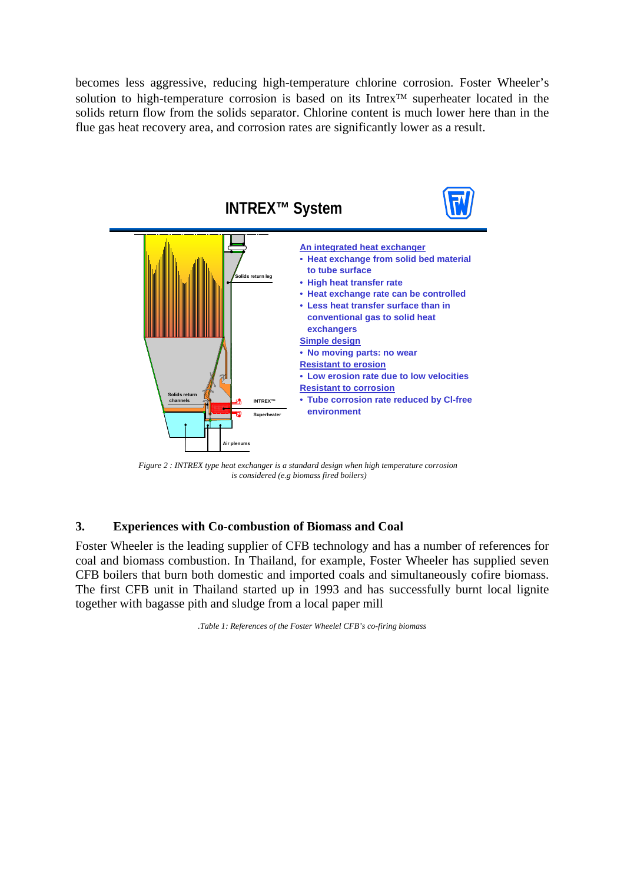becomes less aggressive, reducing high-temperature chlorine corrosion. Foster Wheeler's solution to high-temperature corrosion is based on its Intrex™ superheater located in the solids return flow from the solids separator. Chlorine content is much lower here than in the flue gas heat recovery area, and corrosion rates are significantly lower as a result.



*Figure 2 : INTREX type heat exchanger is a standard design when high temperature corrosion is considered (e.g biomass fired boilers)*

## **3. Experiences with Co-combustion of Biomass and Coal**

Foster Wheeler is the leading supplier of CFB technology and has a number of references for coal and biomass combustion. In Thailand, for example, Foster Wheeler has supplied seven CFB boilers that burn both domestic and imported coals and simultaneously cofire biomass. The first CFB unit in Thailand started up in 1993 and has successfully burnt local lignite together with bagasse pith and sludge from a local paper mill

*.Table 1: References of the Foster Wheelel CFB's co-firing biomass*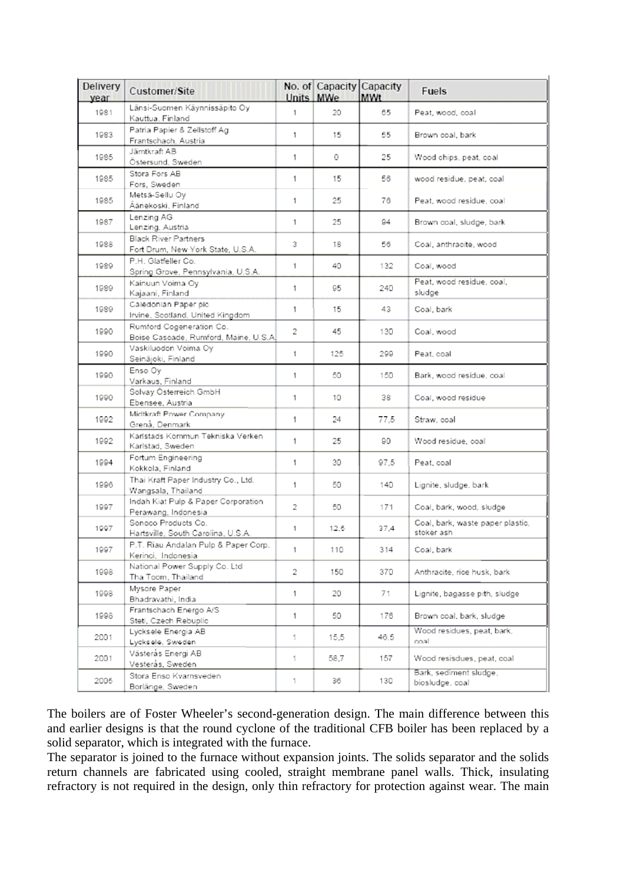| <b>Delivery</b><br>vear | Customer/Site                                                     | Units MWe | No. of Capacity Capacity | <b>MWt</b> | Fuels                                          |
|-------------------------|-------------------------------------------------------------------|-----------|--------------------------|------------|------------------------------------------------|
| 1981                    | Länsi-Suomen Käynnissäpito Oy<br>Kauttua, Finland                 | 1         | 20                       | 65         | Peat, wood, coal                               |
| 1983                    | Patria Papier & Zellstoff Ag<br>Frantschach, Austria              | 1         | 15                       | 55         | Brown coal, bark                               |
| 1985                    | Jämtkraft AB<br>Ostersund, Sweden                                 | 1         | 0                        | 25         | Wood chips, peat, coal                         |
| 1985                    | Stora Fors AB<br>Fors, Sweden                                     | 1         | 15                       | 56         | wood residue, peat, coal                       |
| 1985                    | Metsä-Sellu Oy<br>Äänekoski, Finland                              | 1         | 25                       | 76         | Peat, wood residue, coal                       |
| 1987                    | Lenzing AG<br>Lenzing, Austria                                    | 1         | 25                       | 94         | Brown coal, sludge, bark                       |
| 1988                    | <b>Black River Partners</b><br>Fort Drum, New York State, U.S.A.  | 3         | 18                       | 56         | Coal, anthracite, wood                         |
| 1989                    | P.H. Glatfeller Co.<br>Spring Grove, Pennsylvania, U.S.A.         | 1         | 40                       | 132        | Coal, wood                                     |
| 1989                    | Kainuun Voima Oy<br>Kajaani, Finland                              | 1         | 95                       | 240        | Peat, wood residue, coal,<br>sludge            |
| 1989                    | Caledonian Paper plc<br>Irvine, Scotland, United Kingdom.         | 1         | 15                       | 43.        | Coal, bark                                     |
| 1990                    | Rumford Cogeneration Co.<br>Boise Cascade, Rumford, Maine, U.S.A. | 2         | 45                       | 130        | Coal, wood                                     |
| 1990                    | Vaskiluodon Voima Oy<br>Seinäjoki, Finland                        | 1         | 125                      | 299        | Peat, coal                                     |
| 1990                    | Enso Oy<br>Varkaus, Finland                                       | 1         | 50.                      | 150        | Bark, wood residue, coal                       |
| 1990                    | Solvay Österreich GmbH<br>Ebensee, Austria                        | 1         | 10                       | 38         | Coal, wood residue                             |
| 1992                    | Midtkraft Power Company<br>Grenå, Denmark                         | 1         | 24                       | 77.5       | Straw, coal                                    |
| 1992                    | Karlstads Kommun Tekniska Verken<br>Karlstad, Sweden              | 1         | 25                       | 90         | Wood residue, coal                             |
| 1994                    | Fortum Engineering<br>Kokkola, Finland                            | 1         | 30                       | 97,5       | Peat, coal                                     |
| 1996                    | Thai Kraft Paper Industry Co., Ltd.<br>Wangsala, Thailand         | 1         | 50                       | 140        | Lignite, sludge, bark                          |
| 1997                    | Indah Kiat Pulp & Paper Corporation<br>Perawang, Indonesia        | 2         | 50                       | 171        | Coal, bark, wood, sludge                       |
| 1997                    | Sonoco Products Co.<br>Hartsville, South Carolina, U.S.A.         | 1         | 12.5                     | 37,4       | Coal, bark, waste paper plastic,<br>stoker ash |
| 1997                    | P.T. Riau Andalan Pulp & Paper Corp.<br>Kerinci, Indonesia        | 1         | 110                      | 314        | Coal, bark                                     |
| 1998                    | National Power Supply Co. Ltd<br>Tha Toom, Thailand               | 2         | 150                      | 370        | Anthracite, rice husk, bark                    |
| 1998                    | Mysore Paper<br>Bhadravathi, India                                | 1         | 20                       | 71         | Lignite, bagasse pith, sludge                  |
| 1998                    | Frantschach Energo A/S<br>Steti, Czech Rebuplic                   | 1         | 50                       | 176        | Brown coal, bark, sludge                       |
| 2001                    | Lycksele Energia AB<br>Lycksele, Sweden                           | 1.        | 15,5                     | 46,5       | Wood residues, peat, bark,<br>coal             |
| 2001                    | Västerås Energi AB<br>Vesterås, Sweden                            | 1         | 58,7                     | 157        | Wood resisdues, peat, coal                     |
| 2005                    | Stora Enso Kvarnsveden<br>Borlänge, Sweden                        | 1.        | 36                       | 130        | Bark, sediment sludge,<br>biosludge, coal      |

The boilers are of Foster Wheeler's second-generation design. The main difference between this and earlier designs is that the round cyclone of the traditional CFB boiler has been replaced by a solid separator, which is integrated with the furnace.

The separator is joined to the furnace without expansion joints. The solids separator and the solids return channels are fabricated using cooled, straight membrane panel walls. Thick, insulating refractory is not required in the design, only thin refractory for protection against wear. The main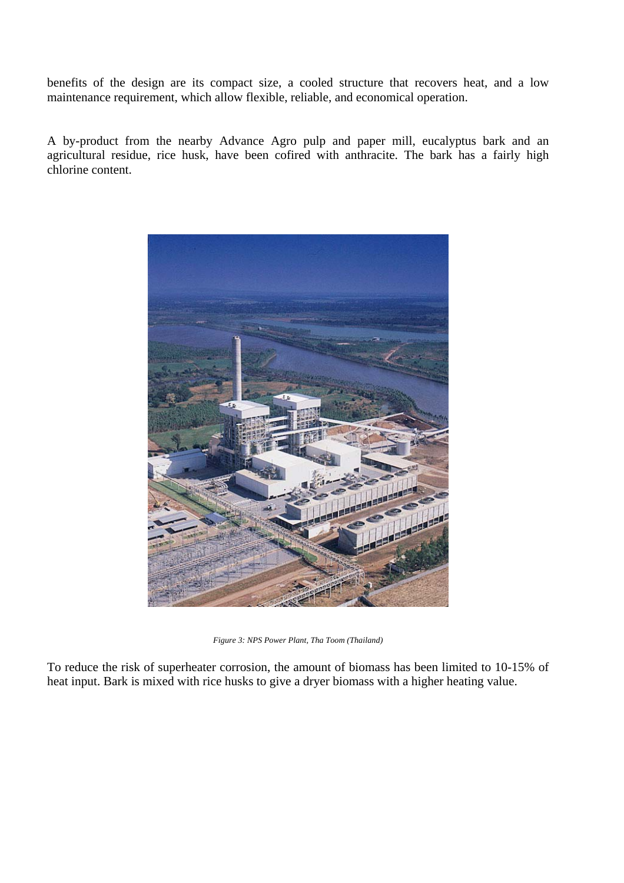benefits of the design are its compact size, a cooled structure that recovers heat, and a low maintenance requirement, which allow flexible, reliable, and economical operation.

A by-product from the nearby Advance Agro pulp and paper mill, eucalyptus bark and an agricultural residue, rice husk, have been cofired with anthracite. The bark has a fairly high chlorine content.



*Figure 3: NPS Power Plant, Tha Toom (Thailand)*

To reduce the risk of superheater corrosion, the amount of biomass has been limited to 10-15% of heat input. Bark is mixed with rice husks to give a dryer biomass with a higher heating value.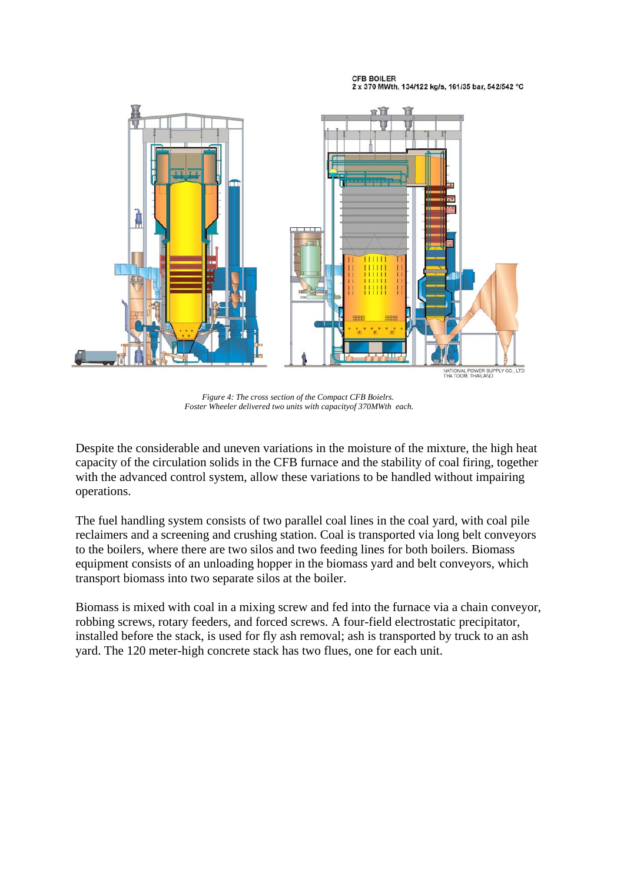#### CER ROILER 2 x 370 MWth, 134/122 kg/s, 161/35 bar, 542/542 °C



*Figure 4: The cross section of the Compact CFB Boielrs. Foster Wheeler delivered two units with capacityof 370MWth each.*

Despite the considerable and uneven variations in the moisture of the mixture, the high heat capacity of the circulation solids in the CFB furnace and the stability of coal firing, together with the advanced control system, allow these variations to be handled without impairing operations.

The fuel handling system consists of two parallel coal lines in the coal yard, with coal pile reclaimers and a screening and crushing station. Coal is transported via long belt conveyors to the boilers, where there are two silos and two feeding lines for both boilers. Biomass equipment consists of an unloading hopper in the biomass yard and belt conveyors, which transport biomass into two separate silos at the boiler.

Biomass is mixed with coal in a mixing screw and fed into the furnace via a chain conveyor, robbing screws, rotary feeders, and forced screws. A four-field electrostatic precipitator, installed before the stack, is used for fly ash removal; ash is transported by truck to an ash yard. The 120 meter-high concrete stack has two flues, one for each unit.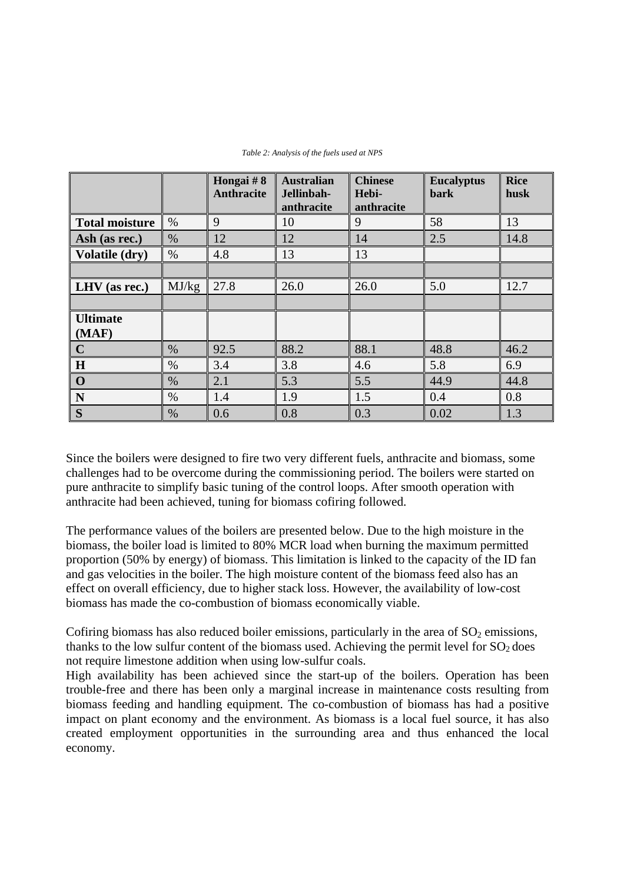|                          |       | Hongai $# 8$<br><b>Anthracite</b> | <b>Australian</b><br>Jellinbah-<br>anthracite | <b>Chinese</b><br>Hebi-<br>anthracite | <b>Eucalyptus</b><br><b>bark</b> | <b>Rice</b><br>husk |
|--------------------------|-------|-----------------------------------|-----------------------------------------------|---------------------------------------|----------------------------------|---------------------|
| <b>Total moisture</b>    | $\%$  | 9                                 | 10                                            | 9                                     | 58                               | 13                  |
| Ash (as rec.)            | $\%$  | 12                                | 12                                            | 14                                    | 2.5                              | 14.8                |
| <b>Volatile (dry)</b>    | $\%$  | 4.8                               | 13                                            | 13                                    |                                  |                     |
|                          |       |                                   |                                               |                                       |                                  |                     |
| LHV (as rec.)            | MJ/kg | 27.8                              | 26.0                                          | 26.0                                  | 5.0                              | 12.7                |
|                          |       |                                   |                                               |                                       |                                  |                     |
| <b>Ultimate</b><br>(MAF) |       |                                   |                                               |                                       |                                  |                     |
| $\mathbf C$              | $\%$  | 92.5                              | 88.2                                          | 88.1                                  | 48.8                             | 46.2                |
| $\mathbf H$              | $\%$  | 3.4                               | 3.8                                           | 4.6                                   | 5.8                              | 6.9                 |
| $\mathbf 0$              | $\%$  | 2.1                               | 5.3                                           | 5.5                                   | 44.9                             | 44.8                |
| ${\bf N}$                | $\%$  | 1.4                               | 1.9                                           | 1.5                                   | 0.4                              | 0.8                 |
| $\overline{\mathbf{S}}$  | %     | 0.6                               | 0.8                                           | 0.3                                   | 0.02                             | 1.3                 |

*Table 2: Analysis of the fuels used at NPS*

Since the boilers were designed to fire two very different fuels, anthracite and biomass, some challenges had to be overcome during the commissioning period. The boilers were started on pure anthracite to simplify basic tuning of the control loops. After smooth operation with anthracite had been achieved, tuning for biomass cofiring followed.

The performance values of the boilers are presented below. Due to the high moisture in the biomass, the boiler load is limited to 80% MCR load when burning the maximum permitted proportion (50% by energy) of biomass. This limitation is linked to the capacity of the ID fan and gas velocities in the boiler. The high moisture content of the biomass feed also has an effect on overall efficiency, due to higher stack loss. However, the availability of low-cost biomass has made the co-combustion of biomass economically viable.

Cofiring biomass has also reduced boiler emissions, particularly in the area of  $SO_2$  emissions, thanks to the low sulfur content of the biomass used. Achieving the permit level for  $SO_2$  does not require limestone addition when using low-sulfur coals.

High availability has been achieved since the start-up of the boilers. Operation has been trouble-free and there has been only a marginal increase in maintenance costs resulting from biomass feeding and handling equipment. The co-combustion of biomass has had a positive impact on plant economy and the environment. As biomass is a local fuel source, it has also created employment opportunities in the surrounding area and thus enhanced the local economy.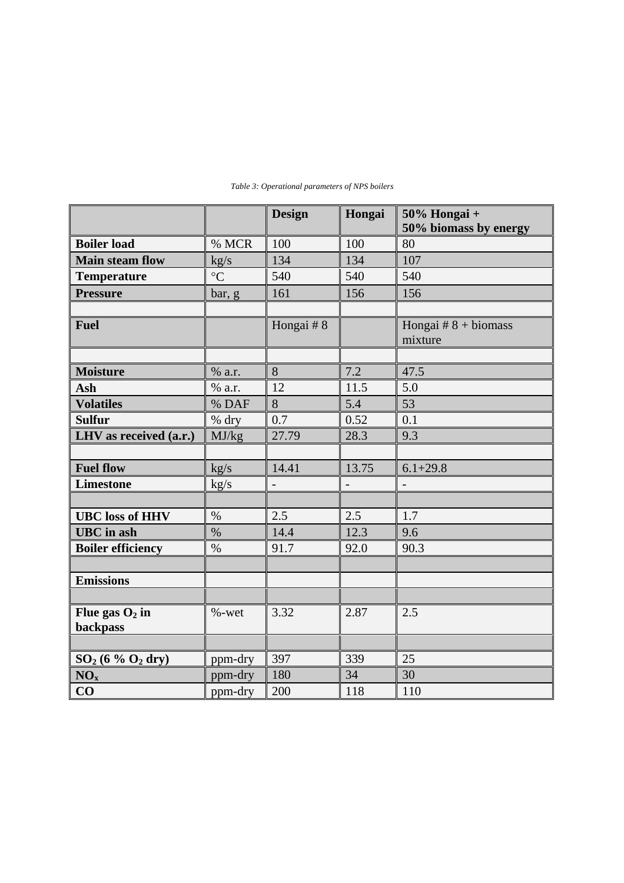|                          |                 | <b>Design</b>            | Hongai         | $50\%$ Hongai +<br>50% biomass by energy |
|--------------------------|-----------------|--------------------------|----------------|------------------------------------------|
| <b>Boiler load</b>       | % MCR           | 100                      | 100            | 80                                       |
| <b>Main steam flow</b>   | kg/s            | 134                      | 134            | 107                                      |
| <b>Temperature</b>       | $\rm ^{\circ}C$ | 540                      | 540            | 540                                      |
| <b>Pressure</b>          | bar, g          | 161                      | 156            | 156                                      |
|                          |                 |                          |                |                                          |
| <b>Fuel</b>              |                 | Hongai #8                |                | Hongai $# 8 + \text{biomass}$<br>mixture |
|                          |                 |                          |                |                                          |
| <b>Moisture</b>          | % a.r.          | 8                        | 7.2            | 47.5                                     |
| Ash                      | % a.r.          | 12                       | 11.5           | 5.0                                      |
| <b>Volatiles</b>         | % DAF           | 8                        | 5.4            | 53                                       |
| <b>Sulfur</b>            | % dry           | 0.7                      | 0.52           | 0.1                                      |
| LHV as received (a.r.)   | MJ/kg           | 27.79                    | 28.3           | 9.3                                      |
|                          |                 |                          |                |                                          |
| <b>Fuel flow</b>         | kg/s            | 14.41                    | 13.75          | $6.1 + 29.8$                             |
| <b>Limestone</b>         | kg/s            | $\overline{\phantom{0}}$ | $\overline{a}$ | $\blacksquare$                           |
|                          |                 |                          |                |                                          |
| <b>UBC</b> loss of HHV   | $\%$            | 2.5                      | 2.5            | 1.7                                      |
| <b>UBC</b> in ash        | $\%$            | 14.4                     | 12.3           | 9.6                                      |
| <b>Boiler efficiency</b> | $\%$            | 91.7                     | 92.0           | 90.3                                     |
|                          |                 |                          |                |                                          |
| <b>Emissions</b>         |                 |                          |                |                                          |
|                          |                 |                          |                |                                          |
| Flue gas $O2$ in         | $% -wet$        | 3.32                     | 2.87           | 2.5                                      |
| backpass                 |                 |                          |                |                                          |
|                          |                 |                          |                |                                          |
| $SO_2$ (6 % $O_2$ dry)   | ppm-dry         | 397                      | 339            | 25                                       |
| NO <sub>x</sub>          | ppm-dry         | 180                      | 34             | 30                                       |
| CO                       | ppm-dry         | 200                      | 118            | 110                                      |

#### *Table 3: Operational parameters of NPS boilers*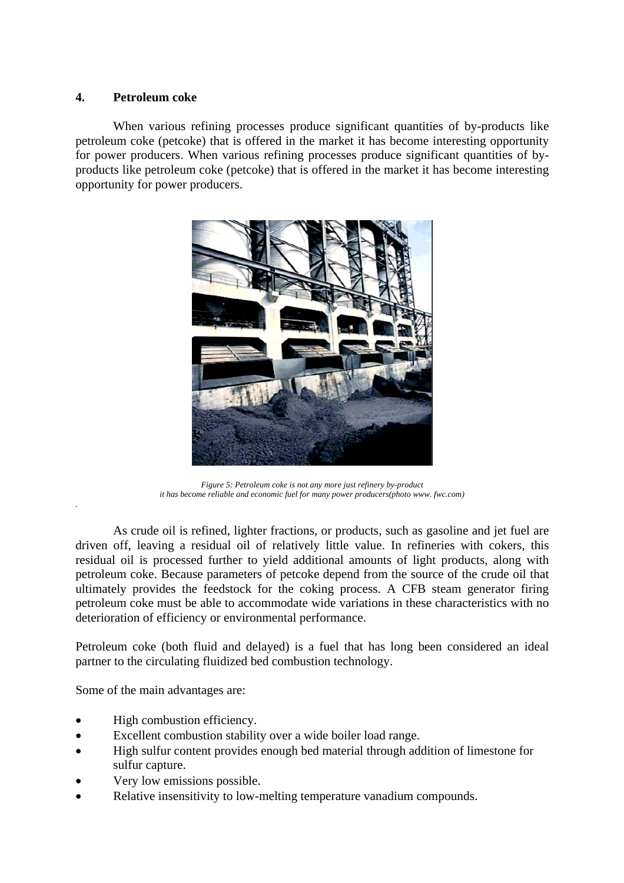### **4. Petroleum coke**

When various refining processes produce significant quantities of by-products like petroleum coke (petcoke) that is offered in the market it has become interesting opportunity for power producers. When various refining processes produce significant quantities of byproducts like petroleum coke (petcoke) that is offered in the market it has become interesting opportunity for power producers.



*Figure 5: Petroleum coke is not any more just refinery by-product it has become reliable and economic fuel for many power producers(photo www. fwc.com)*

As crude oil is refined, lighter fractions, or products, such as gasoline and jet fuel are driven off, leaving a residual oil of relatively little value. In refineries with cokers, this residual oil is processed further to yield additional amounts of light products, along with petroleum coke. Because parameters of petcoke depend from the source of the crude oil that ultimately provides the feedstock for the coking process. A CFB steam generator firing petroleum coke must be able to accommodate wide variations in these characteristics with no deterioration of efficiency or environmental performance.

Petroleum coke (both fluid and delayed) is a fuel that has long been considered an ideal partner to the circulating fluidized bed combustion technology.

Some of the main advantages are:

*.*

- High combustion efficiency.
- Excellent combustion stability over a wide boiler load range.
- High sulfur content provides enough bed material through addition of limestone for sulfur capture.
- Very low emissions possible.
- Relative insensitivity to low-melting temperature vanadium compounds.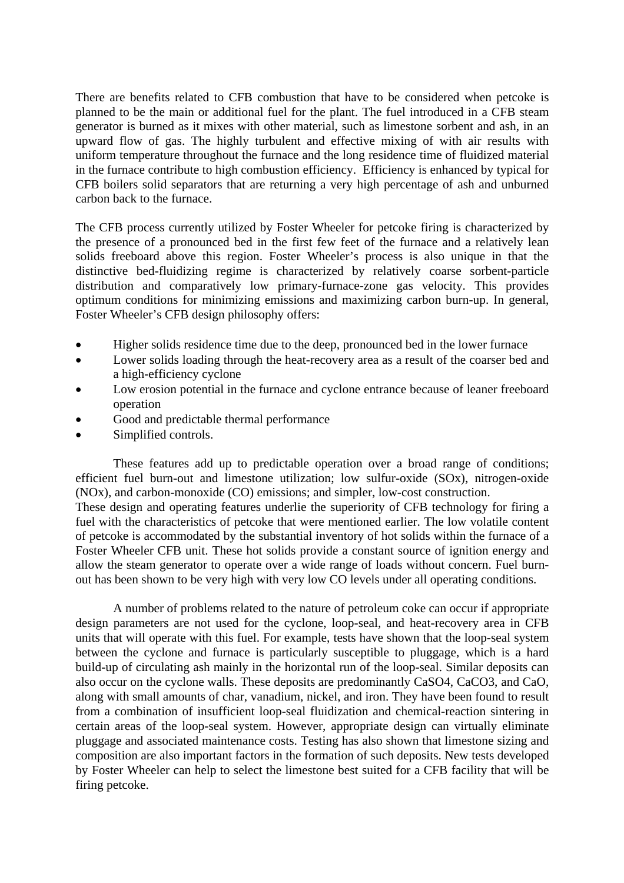There are benefits related to CFB combustion that have to be considered when petcoke is planned to be the main or additional fuel for the plant. The fuel introduced in a CFB steam generator is burned as it mixes with other material, such as limestone sorbent and ash, in an upward flow of gas. The highly turbulent and effective mixing of with air results with uniform temperature throughout the furnace and the long residence time of fluidized material in the furnace contribute to high combustion efficiency. Efficiency is enhanced by typical for CFB boilers solid separators that are returning a very high percentage of ash and unburned carbon back to the furnace.

The CFB process currently utilized by Foster Wheeler for petcoke firing is characterized by the presence of a pronounced bed in the first few feet of the furnace and a relatively lean solids freeboard above this region. Foster Wheeler's process is also unique in that the distinctive bed-fluidizing regime is characterized by relatively coarse sorbent-particle distribution and comparatively low primary-furnace-zone gas velocity. This provides optimum conditions for minimizing emissions and maximizing carbon burn-up. In general, Foster Wheeler's CFB design philosophy offers:

- Higher solids residence time due to the deep, pronounced bed in the lower furnace
- Lower solids loading through the heat-recovery area as a result of the coarser bed and a high-efficiency cyclone
- Low erosion potential in the furnace and cyclone entrance because of leaner freeboard operation
- Good and predictable thermal performance
- Simplified controls.

These features add up to predictable operation over a broad range of conditions; efficient fuel burn-out and limestone utilization; low sulfur-oxide (SOx), nitrogen-oxide (NOx), and carbon-monoxide (CO) emissions; and simpler, low-cost construction.

These design and operating features underlie the superiority of CFB technology for firing a fuel with the characteristics of petcoke that were mentioned earlier. The low volatile content of petcoke is accommodated by the substantial inventory of hot solids within the furnace of a Foster Wheeler CFB unit. These hot solids provide a constant source of ignition energy and allow the steam generator to operate over a wide range of loads without concern. Fuel burnout has been shown to be very high with very low CO levels under all operating conditions.

A number of problems related to the nature of petroleum coke can occur if appropriate design parameters are not used for the cyclone, loop-seal, and heat-recovery area in CFB units that will operate with this fuel. For example, tests have shown that the loop-seal system between the cyclone and furnace is particularly susceptible to pluggage, which is a hard build-up of circulating ash mainly in the horizontal run of the loop-seal. Similar deposits can also occur on the cyclone walls. These deposits are predominantly CaSO4, CaCO3, and CaO, along with small amounts of char, vanadium, nickel, and iron. They have been found to result from a combination of insufficient loop-seal fluidization and chemical-reaction sintering in certain areas of the loop-seal system. However, appropriate design can virtually eliminate pluggage and associated maintenance costs. Testing has also shown that limestone sizing and composition are also important factors in the formation of such deposits. New tests developed by Foster Wheeler can help to select the limestone best suited for a CFB facility that will be firing petcoke.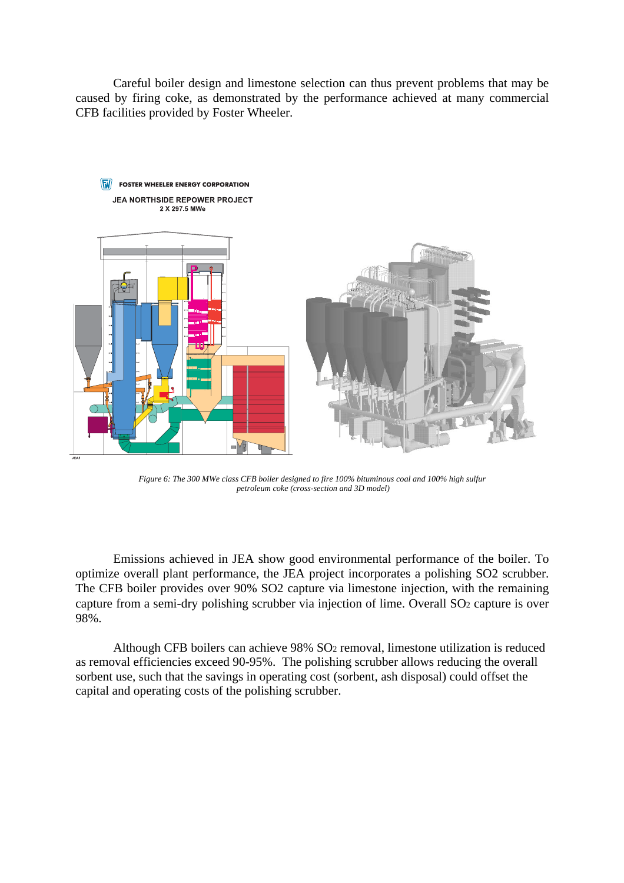Careful boiler design and limestone selection can thus prevent problems that may be caused by firing coke, as demonstrated by the performance achieved at many commercial CFB facilities provided by Foster Wheeler.



*Figure 6: The 300 MWe class CFB boiler designed to fire 100% bituminous coal and 100% high sulfur petroleum coke (cross-section and 3D model)*

Emissions achieved in JEA show good environmental performance of the boiler. To optimize overall plant performance, the JEA project incorporates a polishing SO2 scrubber. The CFB boiler provides over 90% SO2 capture via limestone injection, with the remaining capture from a semi-dry polishing scrubber via injection of lime. Overall SO2 capture is over 98%.

Although CFB boilers can achieve 98% SO2 removal, limestone utilization is reduced as removal efficiencies exceed 90-95%. The polishing scrubber allows reducing the overall sorbent use, such that the savings in operating cost (sorbent, ash disposal) could offset the capital and operating costs of the polishing scrubber.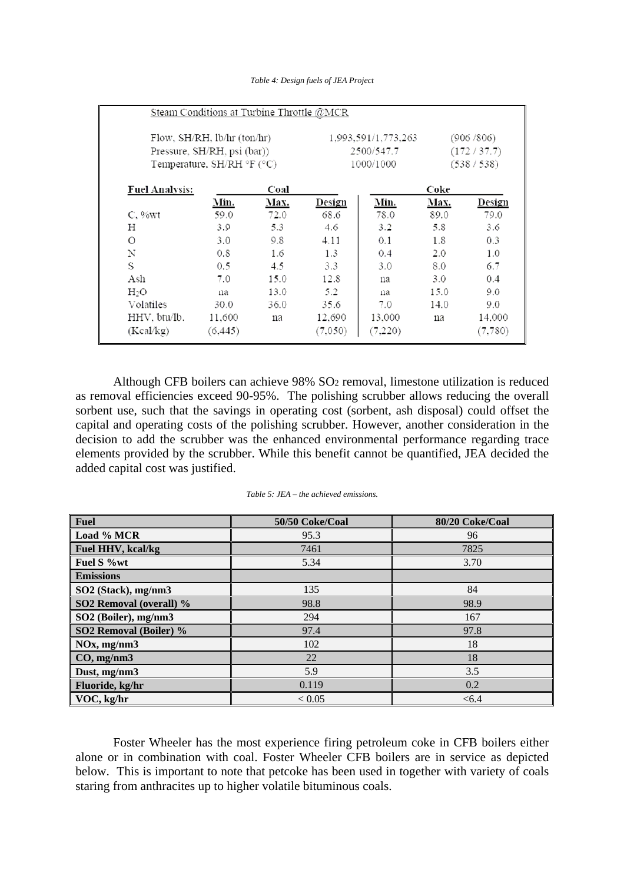| Table 4: Design fuels of JEA Project |  |  |  |  |
|--------------------------------------|--|--|--|--|
|--------------------------------------|--|--|--|--|

|                                               | Flow, SH/RH, $lb/hr$ (ton/hr) |      |               | 1,993,591/1,773,263 |      | (906/806)  |  |
|-----------------------------------------------|-------------------------------|------|---------------|---------------------|------|------------|--|
|                                               | Pressure, SH/RH, psi (bar))   |      |               | 2500/547.7          |      | (172/37.7) |  |
| Temperature, SH/RH $\degree$ F ( $\degree$ C) |                               |      | 1000/1000     | (538/538)           |      |            |  |
| <b>Fuel Analysis:</b>                         |                               | Coal |               |                     | Coke |            |  |
|                                               | Min.                          | Max. | <b>Design</b> | Min.                | Max. | Design     |  |
| C. %wt                                        | 59.0                          | 72.0 | 68.6          | 78.0                | 89.0 | 79.0       |  |
| Н                                             | 3.9                           | 5.3  | 4.6           | 3.2                 | 5.8  | 3.6        |  |
| Ο                                             | 3.0                           | 9.8  | 4.11          | 0.1                 | 1.8  | 0.3        |  |
| N                                             | 0.8                           | 1.6  | 1.3           | 0.4                 | 2.0  | 1.0        |  |
| S                                             | 0.5                           | 4.5  | 3.3           | 3.0                 | 8.0  | 6.7        |  |
| Ash                                           | 7.0                           | 15.0 | 12.8          | na                  | 3.0  | 0.4        |  |
| $H_2O$                                        | na                            | 13.0 | 5.2           | na                  | 15.0 | 9.0        |  |
| Volatiles                                     | 30.0                          | 36.0 | 35.6          | 7.0                 | 14.0 | 9.0        |  |
| HHV, btu/lb.                                  | 11.600                        | na   | 12,690        | 13.000              | na   | 14,000     |  |
| (Kcal/kg)                                     | (6, 445)                      |      | (7,050)       | (7,220)             |      | (7, 780)   |  |

Although CFB boilers can achieve 98% SO2 removal, limestone utilization is reduced as removal efficiencies exceed 90-95%. The polishing scrubber allows reducing the overall sorbent use, such that the savings in operating cost (sorbent, ash disposal) could offset the capital and operating costs of the polishing scrubber. However, another consideration in the decision to add the scrubber was the enhanced environmental performance regarding trace elements provided by the scrubber. While this benefit cannot be quantified, JEA decided the added capital cost was justified.

| <b>Fuel</b>             | 50/50 Coke/Coal | 80/20 Coke/Coal |
|-------------------------|-----------------|-----------------|
| Load % MCR              | 95.3            | 96              |
| Fuel HHV, kcal/kg       | 7461            | 7825            |
| Fuel S %wt              | 5.34            | 3.70            |
| <b>Emissions</b>        |                 |                 |
| SO2 (Stack), mg/nm3     | 135             | 84              |
| SO2 Removal (overall) % | 98.8            | 98.9            |
| SO2 (Boiler), mg/nm3    | 294             | 167             |
| SO2 Removal (Boiler) %  | 97.4            | 97.8            |
| $NOx$ , mg/nm $3$       | 102             | 18              |
| $CO$ , mg/nm3           | 22              | 18              |
| Dust, mg/nm3            | 5.9             | 3.5             |
| Fluoride, kg/hr         | 0.119           | 0.2             |
| VOC, kg/hr              | < 0.05          | < 6.4           |

*Table 5: JEA – the achieved emissions.*

Foster Wheeler has the most experience firing petroleum coke in CFB boilers either alone or in combination with coal. Foster Wheeler CFB boilers are in service as depicted below. This is important to note that petcoke has been used in together with variety of coals staring from anthracites up to higher volatile bituminous coals.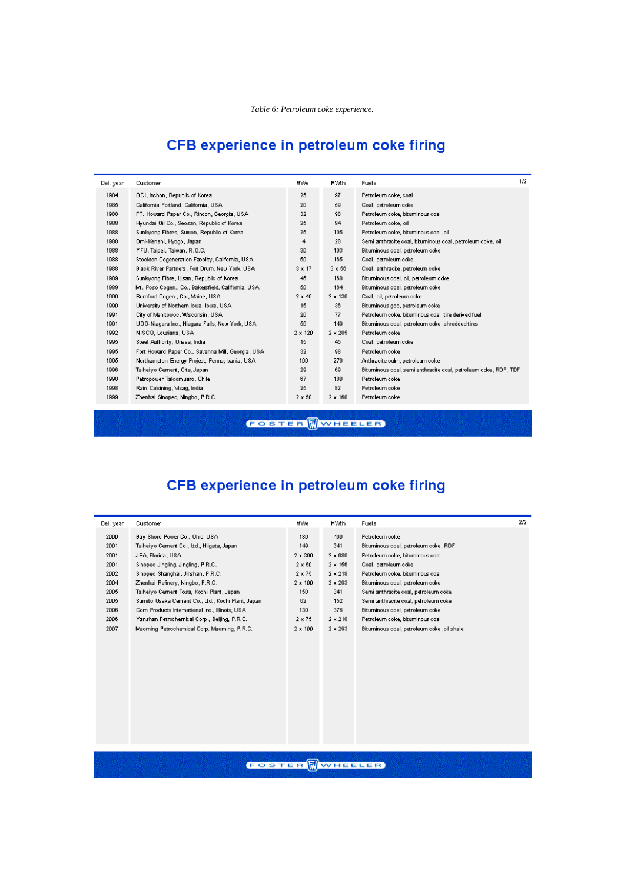# CFB experience in petroleum coke firing

| Del. year | Customer                                            | MWe            | <b>MWth</b>    | Fuels                                                           | 1/2 |
|-----------|-----------------------------------------------------|----------------|----------------|-----------------------------------------------------------------|-----|
| 1984      | OCI, Inchon, Republic of Korea                      | 25             | 97             | Petroleum coke, coal                                            |     |
| 1985      | California Portland, California, USA                | 20             | 59             | Coal, petroleum coke                                            |     |
| 1988      | FT. Howard Paper Co., Rincon, Georgia, USA          | 32             | 98             | Petroleum coke, bituminous coal                                 |     |
| 1988      | Hyundai Oil Co., Seosan, Republic of Korea          | 25             | 94             | Petroleum coke, oil                                             |     |
| 1988      | Sunkyong Fibres, Suwon, Republic of Korea           | 25             | 105            | Petroleum coke, bituminous coal, oil                            |     |
| 1988      | Omi-Kenshi, Hyogo, Japan                            | 4              | 28             | Semi anthracite coal, bituminous coal, petroleum coke, oil      |     |
| 1988      | YFU, Taipei, Taiwan, R.O.C.                         | 30             | 103            | Biturninous coal, petroleum coke                                |     |
| 1988      | Stockton Cogeneration Facolity, California, USA     | 50             | 165            | Coal, petroleum coke                                            |     |
| 1988      | Black River Partners, Fort Drum, New York, USA      | $3 \times 17$  | $3 \times 56$  | Coal, anthracite, petroleum coke                                |     |
| 1989      | Sunkyong Fibre, Ulsan, Republic of Korea            | 45             | 160            | Bituminous coal, oil, petroleum coke                            |     |
| 1989      | Mt. Poso Cogen., Co., Bakersfield, California, USA. | 50             | 164            | Bituminous coal, petroleum coke                                 |     |
| 1990      | Rumford Cogen., Co., Maine, USA                     | $2 \times 40$  | $2 \times 130$ | Coal, oil, petroleum coke                                       |     |
| 1990      | University of Northern Iowa, Iowa, USA              | 15             | 36             | Bituminous gob, petroleum coke                                  |     |
| 1991      | City of Manitowoc, Wisconsin, USA                   | 20             | 77             | Petroleum coke, bituminous coal, tire derived fuel              |     |
| 1991      | UDG-Niagara Inc., Niagara Falls, New York, USA      | 50             | 149            | Bituminous coal, petroleum coke, shredded tires                 |     |
| 1992      | NISCO, Lousiana, USA                                | $2 \times 120$ | $2 \times 285$ | Petroleum coke                                                  |     |
| 1995      | Steel Authority, Orissa, India                      | 15             | 45             | Coal, petroleum coke                                            |     |
| 1995      | Fort Howard Paper Co., Savanna Mill, Georgia, USA   | 32             | 98             | Petroleum coke                                                  |     |
| 1995      | Northampton Energy Project, Pennsylvania, USA       | 100            | 276            | Anthracite culm, petroleum coke                                 |     |
| 1996      | Taiheiyo Cernent, Oita, Japan                       | 29             | 69             | Bituminous coal, semi anthracite coal, petroleum coke, RDF, TDF |     |
| 1998      | Petropower Talcomuaro, Chile                        | 67             | 180            | Petroleum coke                                                  |     |
| 1998      | Rain Calsining, Msag, India                         | 25             | 82             | Petroleum coke                                                  |     |
| 1999      | Zhenhai Sinopec, Ningbo, P.R.C.                     | $2 \times 50$  | $2 \times 160$ | Petroleum coke                                                  |     |

# **FOSTER WWHEELER**

# CFB experience in petroleum coke firing

| Del . year | Customer                                          | MWe            | MWth           | Fuels                                      | 2/2 |
|------------|---------------------------------------------------|----------------|----------------|--------------------------------------------|-----|
| 2000       | Bay Shore Power Co., Ohio, USA                    | 180            | 460            | Petroleum coke                             |     |
| 2001       | Taiheiyo Cement Co., Ltd., Niigata, Japan         | 149            | 341            | Bituminous coal, petroleum coke, RDF       |     |
| 2001       | JEA Florida, USA                                  | $2 \times 300$ | $2 \times 689$ | Petroleum coke, bituminous coal            |     |
| 2001       | Sinoped Jingling, Jingling, P.R.C.                | $2 \times 50$  | $2 \times 156$ | Coal, petroleum coke                       |     |
| 2002       | Sinoped Shanghai, Jinshan, P.R.C.                 | $2 \times 75$  | $2 \times 218$ | Petroleum coke, bituminous coal            |     |
| 2004       | Zhenhai Refinery, Ningbo, P.R.C.                  | $2 \times 100$ | $2 \times 293$ | Bituminous coal, petroleum coke            |     |
| 2005       | Taiheiyo Cernent Tosa, Kochi Plant, Japan         | 150            | 341            | Semi anthracite coal, petroleum coke       |     |
| 2005       | Sumito Osaka Cement Co., Ltd., Kochi Plant, Japan | 62             | 152            | Semi anthracite coal, petroleum coke       |     |
| 2006       | Com-Products International Inc., Illinois, USA    | 130            | 376            | Bituminous coal, petroleum coke            |     |
| 2006       | Yanshan Petrochemical Corp., Beijing, P.R.C.      | $2 \times 75$  | $2 \times 218$ | Petroleum coke, bituminous coal            |     |
| 2007       | Maoming Petrochemical Corp. Maoming, P.R.C.       | $2 \times 100$ | $2 \times 293$ | Bituminous coal, petroleum coke, oil shale |     |
|            |                                                   |                |                |                                            |     |
|            |                                                   |                |                |                                            |     |

**FOSTER WWHEELER**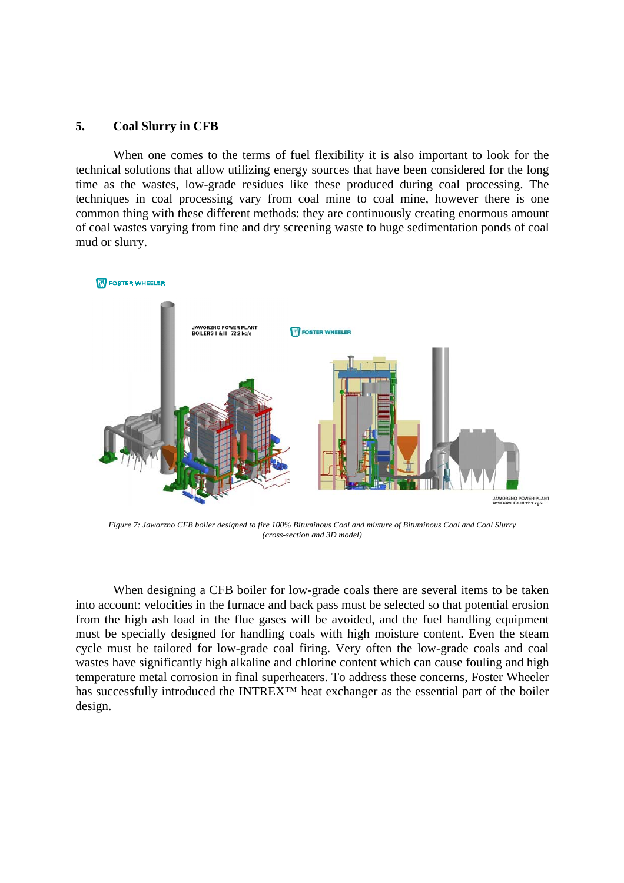### **5. Coal Slurry in CFB**

When one comes to the terms of fuel flexibility it is also important to look for the technical solutions that allow utilizing energy sources that have been considered for the long time as the wastes, low-grade residues like these produced during coal processing. The techniques in coal processing vary from coal mine to coal mine, however there is one common thing with these different methods: they are continuously creating enormous amount of coal wastes varying from fine and dry screening waste to huge sedimentation ponds of coal mud or slurry.



*Figure 7: Jaworzno CFB boiler designed to fire 100% Bituminous Coal and mixture of Bituminous Coal and Coal Slurry (cross-section and 3D model)*

When designing a CFB boiler for low-grade coals there are several items to be taken into account: velocities in the furnace and back pass must be selected so that potential erosion from the high ash load in the flue gases will be avoided, and the fuel handling equipment must be specially designed for handling coals with high moisture content. Even the steam cycle must be tailored for low-grade coal firing. Very often the low-grade coals and coal wastes have significantly high alkaline and chlorine content which can cause fouling and high temperature metal corrosion in final superheaters. To address these concerns, Foster Wheeler has successfully introduced the INTREX™ heat exchanger as the essential part of the boiler design.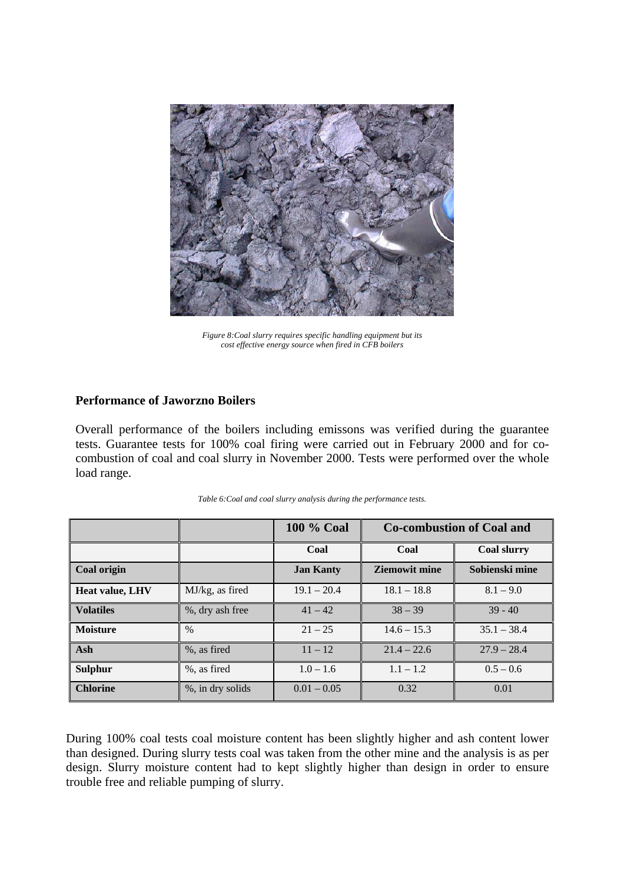

*Figure 8:Coal slurry requires specific handling equipment but its cost effective energy source when fired in CFB boilers*

### **Performance of Jaworzno Boilers**

Overall performance of the boilers including emissons was verified during the guarantee tests. Guarantee tests for 100% coal firing were carried out in February 2000 and for cocombustion of coal and coal slurry in November 2000. Tests were performed over the whole load range.

|                        |                   | 100 % Coal    | <b>Co-combustion of Coal and</b> |                |  |
|------------------------|-------------------|---------------|----------------------------------|----------------|--|
|                        |                   | Coal          | <b>Coal slurry</b><br>Coal       |                |  |
| Coal origin            | <b>Jan Kanty</b>  |               | <b>Ziemowit mine</b>             | Sobienski mine |  |
| <b>Heat value, LHV</b> | MJ/kg, as fired   | $19.1 - 20.4$ | $18.1 - 18.8$                    | $8.1 - 9.0$    |  |
| <b>Volatiles</b>       | %, dry ash free   | $41 - 42$     | $38 - 39$                        | $39 - 40$      |  |
| <b>Moisture</b>        | $21 - 25$<br>$\%$ |               | $14.6 - 15.3$                    | $35.1 - 38.4$  |  |
| Ash                    | %, as fired       | $11 - 12$     | $21.4 - 22.6$                    | $27.9 - 28.4$  |  |
| <b>Sulphur</b>         | %, as fired       | $1.0 - 1.6$   | $1.1 - 1.2$                      | $0.5 - 0.6$    |  |
| <b>Chlorine</b>        | %, in dry solids  | $0.01 - 0.05$ | 0.32                             | 0.01           |  |

*Table 6:Coal and coal slurry analysis during the performance tests.*

During 100% coal tests coal moisture content has been slightly higher and ash content lower than designed. During slurry tests coal was taken from the other mine and the analysis is as per design. Slurry moisture content had to kept slightly higher than design in order to ensure trouble free and reliable pumping of slurry.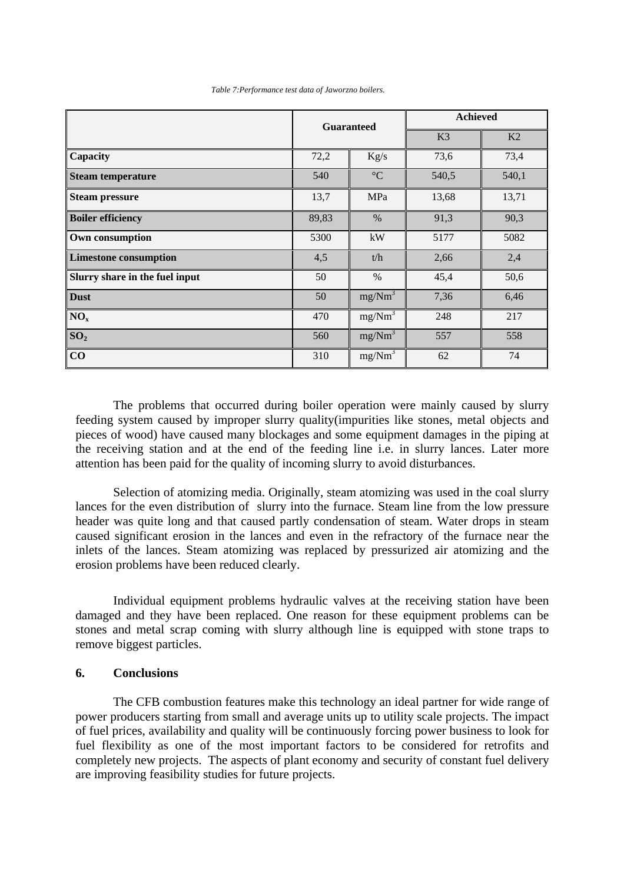|                                |       | <b>Guaranteed</b>  | <b>Achieved</b> |       |  |
|--------------------------------|-------|--------------------|-----------------|-------|--|
|                                |       |                    | K <sub>3</sub>  | K2    |  |
| Capacity                       | 72,2  | Kg/s               | 73,6            | 73,4  |  |
| <b>Steam temperature</b>       | 540   | $\rm ^{\circ}C$    | 540,5           | 540,1 |  |
| <b>Steam pressure</b>          | 13,7  | MPa                | 13,68           | 13,71 |  |
| <b>Boiler efficiency</b>       | 89,83 | $\%$               | 91,3            | 90,3  |  |
| Own consumption                | 5300  | kW                 | 5177            | 5082  |  |
| <b>Limestone consumption</b>   | 4,5   | t/h                | 2,66            | 2,4   |  |
| Slurry share in the fuel input | 50    | $\%$               | 45,4            | 50,6  |  |
| <b>Dust</b>                    | 50    | mg/Nm <sup>3</sup> | 7,36            | 6,46  |  |
| NO <sub>x</sub>                | 470   | mg/Nm <sup>3</sup> | 248             | 217   |  |
| SO <sub>2</sub>                | 560   | mg/Nm <sup>3</sup> | 557             | 558   |  |
| CO                             | 310   | mg/Nm <sup>3</sup> | 62              | 74    |  |

*Table 7:Performance test data of Jaworzno boilers.*

The problems that occurred during boiler operation were mainly caused by slurry feeding system caused by improper slurry quality(impurities like stones, metal objects and pieces of wood) have caused many blockages and some equipment damages in the piping at the receiving station and at the end of the feeding line i.e. in slurry lances. Later more attention has been paid for the quality of incoming slurry to avoid disturbances.

Selection of atomizing media. Originally, steam atomizing was used in the coal slurry lances for the even distribution of slurry into the furnace. Steam line from the low pressure header was quite long and that caused partly condensation of steam. Water drops in steam caused significant erosion in the lances and even in the refractory of the furnace near the inlets of the lances. Steam atomizing was replaced by pressurized air atomizing and the erosion problems have been reduced clearly.

Individual equipment problems hydraulic valves at the receiving station have been damaged and they have been replaced. One reason for these equipment problems can be stones and metal scrap coming with slurry although line is equipped with stone traps to remove biggest particles.

### **6. Conclusions**

The CFB combustion features make this technology an ideal partner for wide range of power producers starting from small and average units up to utility scale projects. The impact of fuel prices, availability and quality will be continuously forcing power business to look for fuel flexibility as one of the most important factors to be considered for retrofits and completely new projects. The aspects of plant economy and security of constant fuel delivery are improving feasibility studies for future projects.